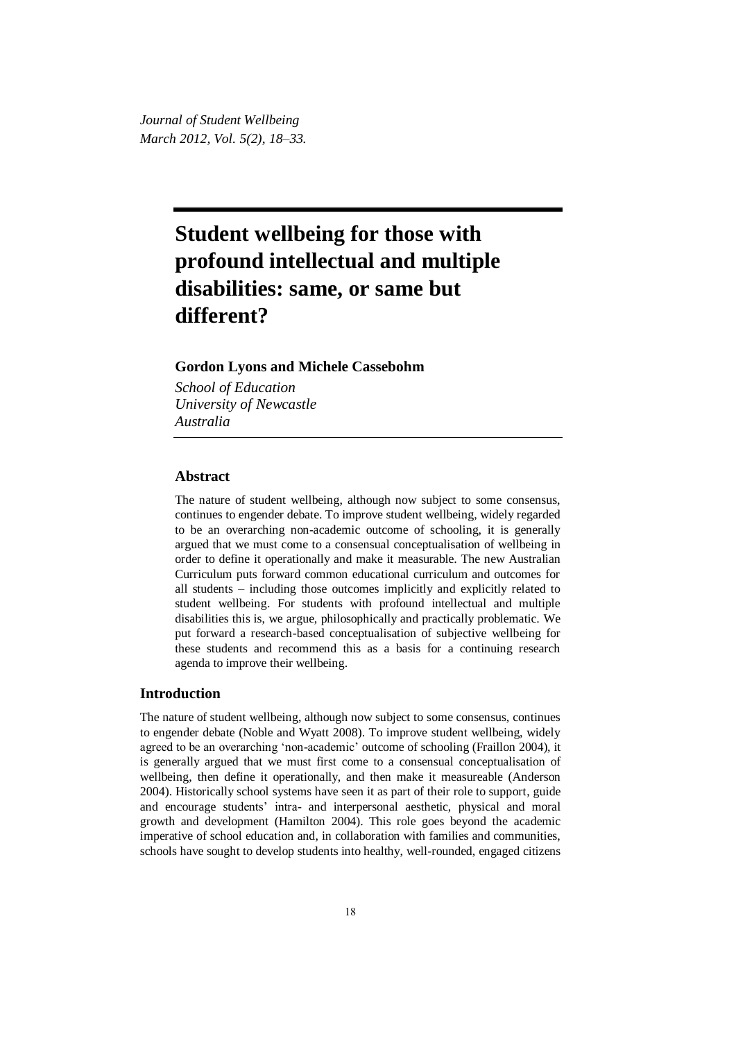*Journal of Student Wellbeing March 2012, Vol. 5(2), 18–33.*

# **Student wellbeing for those with profound intellectual and multiple disabilities: same, or same but different?**

## **Gordon Lyons and Michele Cassebohm**

*School of Education University of Newcastle Australia*

## **Abstract**

The nature of student wellbeing, although now subject to some consensus, continues to engender debate. To improve student wellbeing, widely regarded to be an overarching non-academic outcome of schooling, it is generally argued that we must come to a consensual conceptualisation of wellbeing in order to define it operationally and make it measurable. The new Australian Curriculum puts forward common educational curriculum and outcomes for all students – including those outcomes implicitly and explicitly related to student wellbeing. For students with profound intellectual and multiple disabilities this is, we argue, philosophically and practically problematic. We put forward a research-based conceptualisation of subjective wellbeing for these students and recommend this as a basis for a continuing research agenda to improve their wellbeing.

#### **Introduction**

The nature of student wellbeing, although now subject to some consensus, continues to engender debate (Noble and Wyatt 2008). To improve student wellbeing, widely agreed to be an overarching 'non-academic' outcome of schooling (Fraillon 2004), it is generally argued that we must first come to a consensual conceptualisation of wellbeing, then define it operationally, and then make it measureable (Anderson 2004). Historically school systems have seen it as part of their role to support, guide and encourage students' intra- and interpersonal aesthetic, physical and moral growth and development (Hamilton 2004). This role goes beyond the academic imperative of school education and, in collaboration with families and communities, schools have sought to develop students into healthy, well-rounded, engaged citizens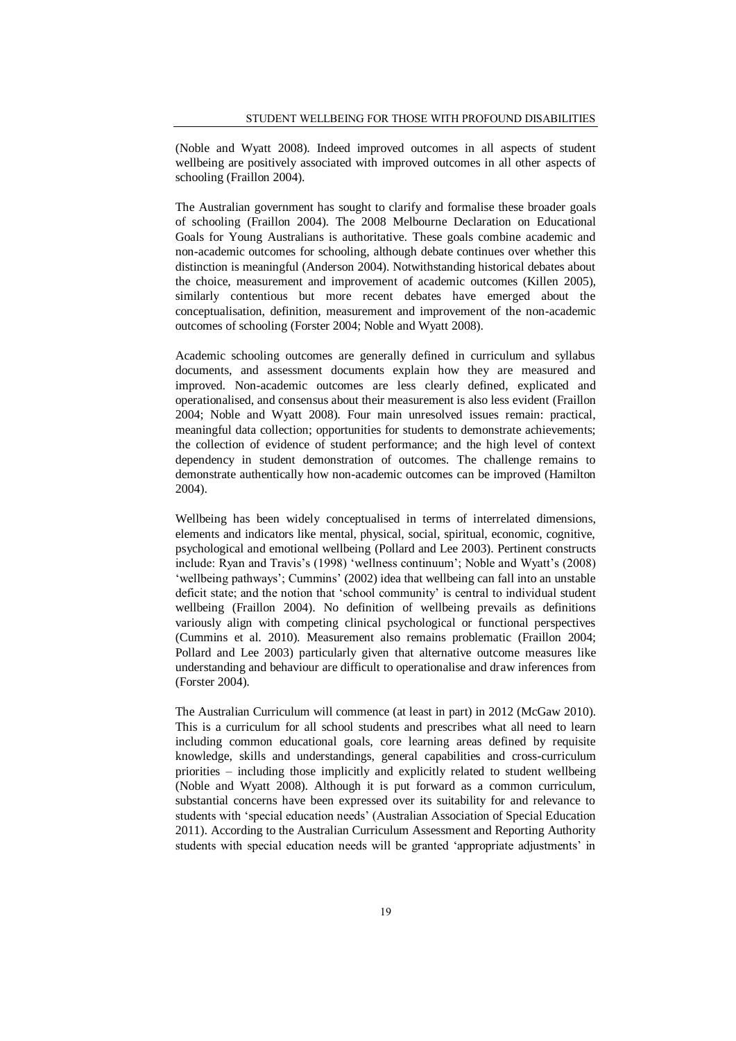(Noble and Wyatt 2008). Indeed improved outcomes in all aspects of student wellbeing are positively associated with improved outcomes in all other aspects of schooling (Fraillon 2004).

The Australian government has sought to clarify and formalise these broader goals of schooling (Fraillon 2004). The 2008 Melbourne Declaration on Educational Goals for Young Australians is authoritative. These goals combine academic and non-academic outcomes for schooling, although debate continues over whether this distinction is meaningful (Anderson 2004). Notwithstanding historical debates about the choice, measurement and improvement of academic outcomes (Killen 2005), similarly contentious but more recent debates have emerged about the conceptualisation, definition, measurement and improvement of the non-academic outcomes of schooling (Forster 2004; Noble and Wyatt 2008).

Academic schooling outcomes are generally defined in curriculum and syllabus documents, and assessment documents explain how they are measured and improved. Non-academic outcomes are less clearly defined, explicated and operationalised, and consensus about their measurement is also less evident (Fraillon 2004; Noble and Wyatt 2008). Four main unresolved issues remain: practical, meaningful data collection; opportunities for students to demonstrate achievements; the collection of evidence of student performance; and the high level of context dependency in student demonstration of outcomes. The challenge remains to demonstrate authentically how non-academic outcomes can be improved (Hamilton 2004).

Wellbeing has been widely conceptualised in terms of interrelated dimensions, elements and indicators like mental, physical, social, spiritual, economic, cognitive, psychological and emotional wellbeing (Pollard and Lee 2003). Pertinent constructs include: Ryan and Travis's (1998) 'wellness continuum'; Noble and Wyatt's (2008) 'wellbeing pathways'; Cummins' (2002) idea that wellbeing can fall into an unstable deficit state; and the notion that 'school community' is central to individual student wellbeing (Fraillon 2004). No definition of wellbeing prevails as definitions variously align with competing clinical psychological or functional perspectives (Cummins et al. 2010). Measurement also remains problematic (Fraillon 2004; Pollard and Lee 2003) particularly given that alternative outcome measures like understanding and behaviour are difficult to operationalise and draw inferences from (Forster 2004).

The Australian Curriculum will commence (at least in part) in 2012 (McGaw 2010). This is a curriculum for all school students and prescribes what all need to learn including common educational goals, core learning areas defined by requisite knowledge, skills and understandings, general capabilities and cross-curriculum priorities – including those implicitly and explicitly related to student wellbeing (Noble and Wyatt 2008). Although it is put forward as a common curriculum, substantial concerns have been expressed over its suitability for and relevance to students with 'special education needs' (Australian Association of Special Education 2011). According to the Australian Curriculum Assessment and Reporting Authority students with special education needs will be granted 'appropriate adjustments' in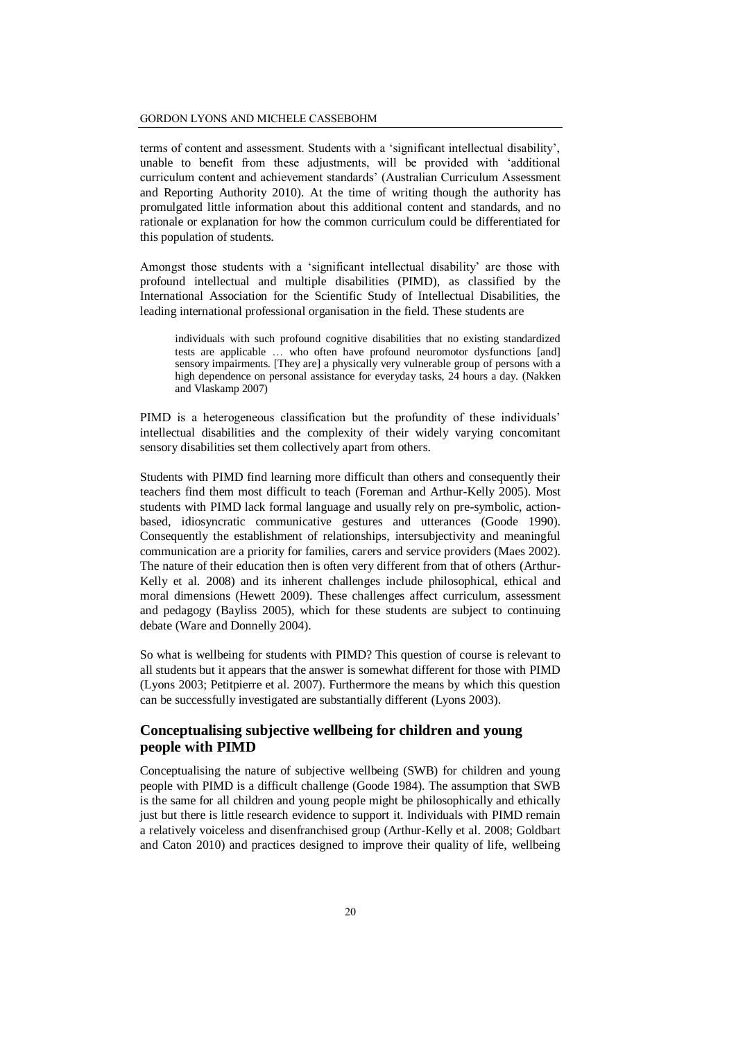terms of content and assessment. Students with a 'significant intellectual disability', unable to benefit from these adjustments, will be provided with 'additional curriculum content and achievement standards' (Australian Curriculum Assessment and Reporting Authority 2010). At the time of writing though the authority has promulgated little information about this additional content and standards, and no rationale or explanation for how the common curriculum could be differentiated for this population of students.

Amongst those students with a 'significant intellectual disability' are those with profound intellectual and multiple disabilities (PIMD), as classified by the International Association for the Scientific Study of Intellectual Disabilities, the leading international professional organisation in the field. These students are

individuals with such profound cognitive disabilities that no existing standardized tests are applicable … who often have profound neuromotor dysfunctions [and] sensory impairments. [They are] a physically very vulnerable group of persons with a high dependence on personal assistance for everyday tasks, 24 hours a day. (Nakken and Vlaskamp 2007)

PIMD is a heterogeneous classification but the profundity of these individuals' intellectual disabilities and the complexity of their widely varying concomitant sensory disabilities set them collectively apart from others.

Students with PIMD find learning more difficult than others and consequently their teachers find them most difficult to teach (Foreman and Arthur-Kelly 2005). Most students with PIMD lack formal language and usually rely on pre-symbolic, actionbased, idiosyncratic communicative gestures and utterances (Goode 1990). Consequently the establishment of relationships, intersubjectivity and meaningful communication are a priority for families, carers and service providers (Maes 2002). The nature of their education then is often very different from that of others (Arthur-Kelly et al. 2008) and its inherent challenges include philosophical, ethical and moral dimensions (Hewett 2009). These challenges affect curriculum, assessment and pedagogy (Bayliss 2005), which for these students are subject to continuing debate (Ware and Donnelly 2004).

So what is wellbeing for students with PIMD? This question of course is relevant to all students but it appears that the answer is somewhat different for those with PIMD (Lyons 2003; Petitpierre et al. 2007). Furthermore the means by which this question can be successfully investigated are substantially different (Lyons 2003).

## **Conceptualising subjective wellbeing for children and young people with PIMD**

Conceptualising the nature of subjective wellbeing (SWB) for children and young people with PIMD is a difficult challenge (Goode 1984). The assumption that SWB is the same for all children and young people might be philosophically and ethically just but there is little research evidence to support it. Individuals with PIMD remain a relatively voiceless and disenfranchised group (Arthur-Kelly et al. 2008; Goldbart and Caton 2010) and practices designed to improve their quality of life, wellbeing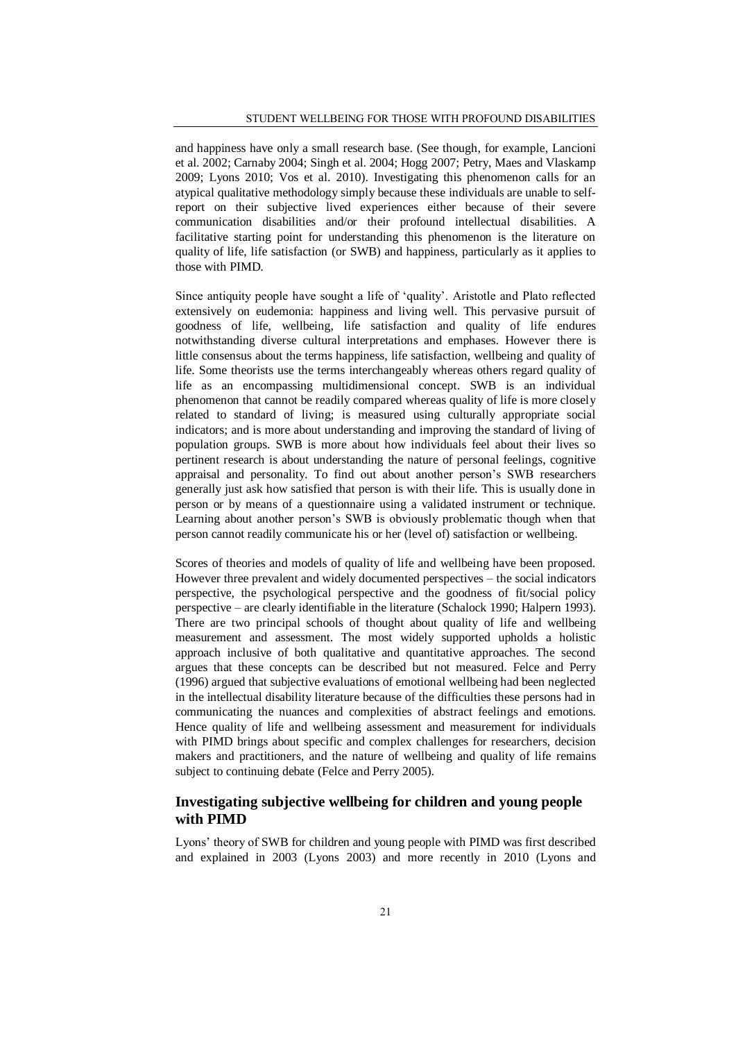and happiness have only a small research base. (See though, for example, Lancioni et al. 2002; Carnaby 2004; Singh et al. 2004; Hogg 2007; Petry, Maes and Vlaskamp 2009; Lyons 2010; Vos et al. 2010). Investigating this phenomenon calls for an atypical qualitative methodology simply because these individuals are unable to selfreport on their subjective lived experiences either because of their severe communication disabilities and/or their profound intellectual disabilities. A facilitative starting point for understanding this phenomenon is the literature on quality of life, life satisfaction (or SWB) and happiness, particularly as it applies to those with PIMD.

Since antiquity people have sought a life of 'quality'. Aristotle and Plato reflected extensively on eudemonia: happiness and living well. This pervasive pursuit of goodness of life, wellbeing, life satisfaction and quality of life endures notwithstanding diverse cultural interpretations and emphases. However there is little consensus about the terms happiness, life satisfaction, wellbeing and quality of life. Some theorists use the terms interchangeably whereas others regard quality of life as an encompassing multidimensional concept. SWB is an individual phenomenon that cannot be readily compared whereas quality of life is more closely related to standard of living; is measured using culturally appropriate social indicators; and is more about understanding and improving the standard of living of population groups. SWB is more about how individuals feel about their lives so pertinent research is about understanding the nature of personal feelings, cognitive appraisal and personality. To find out about another person's SWB researchers generally just ask how satisfied that person is with their life. This is usually done in person or by means of a questionnaire using a validated instrument or technique. Learning about another person's SWB is obviously problematic though when that person cannot readily communicate his or her (level of) satisfaction or wellbeing.

Scores of theories and models of quality of life and wellbeing have been proposed. However three prevalent and widely documented perspectives – the social indicators perspective, the psychological perspective and the goodness of fit/social policy perspective – are clearly identifiable in the literature (Schalock 1990; Halpern 1993). There are two principal schools of thought about quality of life and wellbeing measurement and assessment. The most widely supported upholds a holistic approach inclusive of both qualitative and quantitative approaches. The second argues that these concepts can be described but not measured. Felce and Perry (1996) argued that subjective evaluations of emotional wellbeing had been neglected in the intellectual disability literature because of the difficulties these persons had in communicating the nuances and complexities of abstract feelings and emotions. Hence quality of life and wellbeing assessment and measurement for individuals with PIMD brings about specific and complex challenges for researchers, decision makers and practitioners, and the nature of wellbeing and quality of life remains subject to continuing debate (Felce and Perry 2005).

## **Investigating subjective wellbeing for children and young people with PIMD**

Lyons' theory of SWB for children and young people with PIMD was first described and explained in 2003 (Lyons 2003) and more recently in 2010 (Lyons and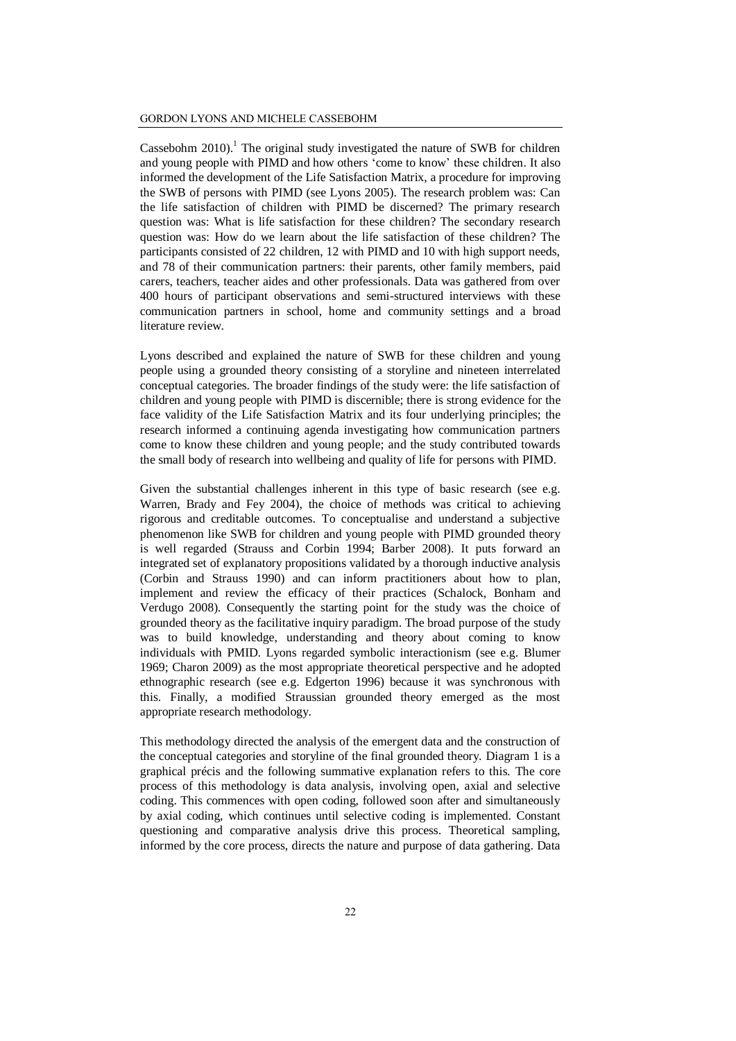Cassebohm 2010). <sup>1</sup> The original study investigated the nature of SWB for children and young people with PIMD and how others 'come to know' these children. It also informed the development of the Life Satisfaction Matrix, a procedure for improving the SWB of persons with PIMD (see Lyons 2005). The research problem was: Can the life satisfaction of children with PIMD be discerned? The primary research question was: What is life satisfaction for these children? The secondary research question was: How do we learn about the life satisfaction of these children? The participants consisted of 22 children, 12 with PIMD and 10 with high support needs, and 78 of their communication partners: their parents, other family members, paid carers, teachers, teacher aides and other professionals. Data was gathered from over 400 hours of participant observations and semi-structured interviews with these communication partners in school, home and community settings and a broad literature review.

Lyons described and explained the nature of SWB for these children and young people using a grounded theory consisting of a storyline and nineteen interrelated conceptual categories. The broader findings of the study were: the life satisfaction of children and young people with PIMD is discernible; there is strong evidence for the face validity of the Life Satisfaction Matrix and its four underlying principles; the research informed a continuing agenda investigating how communication partners come to know these children and young people; and the study contributed towards the small body of research into wellbeing and quality of life for persons with PIMD.

Given the substantial challenges inherent in this type of basic research (see e.g. Warren, Brady and Fey 2004), the choice of methods was critical to achieving rigorous and creditable outcomes. To conceptualise and understand a subjective phenomenon like SWB for children and young people with PIMD grounded theory is well regarded (Strauss and Corbin 1994; Barber 2008). It puts forward an integrated set of explanatory propositions validated by a thorough inductive analysis (Corbin and Strauss 1990) and can inform practitioners about how to plan, implement and review the efficacy of their practices (Schalock, Bonham and Verdugo 2008). Consequently the starting point for the study was the choice of grounded theory as the facilitative inquiry paradigm. The broad purpose of the study was to build knowledge, understanding and theory about coming to know individuals with PMID. Lyons regarded symbolic interactionism (see e.g. Blumer 1969; Charon 2009) as the most appropriate theoretical perspective and he adopted ethnographic research (see e.g. Edgerton 1996) because it was synchronous with this. Finally, a modified Straussian grounded theory emerged as the most appropriate research methodology.

This methodology directed the analysis of the emergent data and the construction of the conceptual categories and storyline of the final grounded theory. Diagram 1 is a graphical précis and the following summative explanation refers to this. The core process of this methodology is data analysis, involving open, axial and selective coding. This commences with open coding, followed soon after and simultaneously by axial coding, which continues until selective coding is implemented. Constant questioning and comparative analysis drive this process. Theoretical sampling, informed by the core process, directs the nature and purpose of data gathering. Data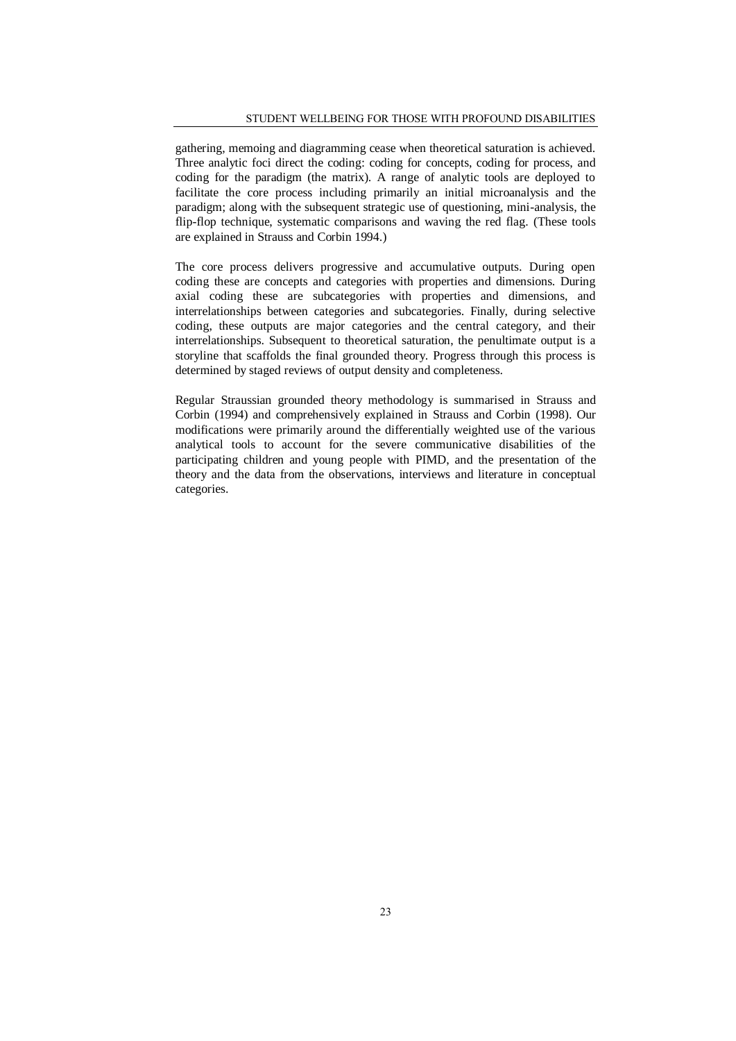gathering, memoing and diagramming cease when theoretical saturation is achieved. Three analytic foci direct the coding: coding for concepts, coding for process, and coding for the paradigm (the matrix). A range of analytic tools are deployed to facilitate the core process including primarily an initial microanalysis and the paradigm; along with the subsequent strategic use of questioning, mini-analysis, the flip-flop technique, systematic comparisons and waving the red flag. (These tools are explained in Strauss and Corbin 1994.)

The core process delivers progressive and accumulative outputs. During open coding these are concepts and categories with properties and dimensions. During axial coding these are subcategories with properties and dimensions, and interrelationships between categories and subcategories. Finally, during selective coding, these outputs are major categories and the central category, and their interrelationships. Subsequent to theoretical saturation, the penultimate output is a storyline that scaffolds the final grounded theory. Progress through this process is determined by staged reviews of output density and completeness.

Regular Straussian grounded theory methodology is summarised in Strauss and Corbin (1994) and comprehensively explained in Strauss and Corbin (1998). Our modifications were primarily around the differentially weighted use of the various analytical tools to account for the severe communicative disabilities of the participating children and young people with PIMD, and the presentation of the theory and the data from the observations, interviews and literature in conceptual categories.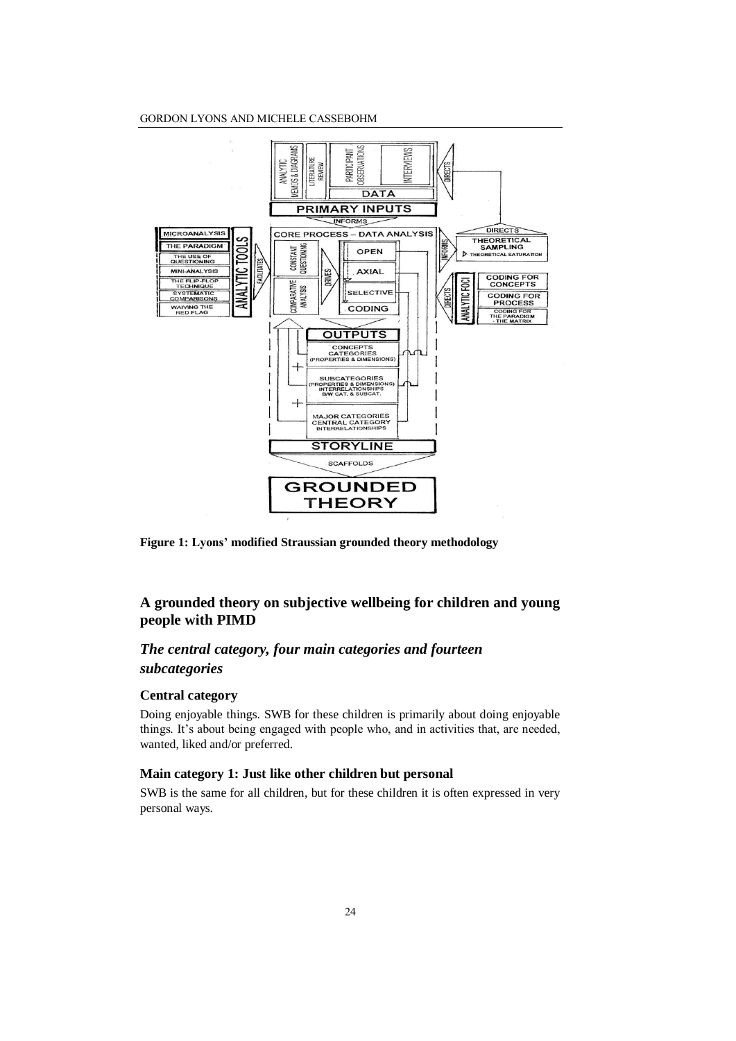#### GORDON LYONS AND MICHELE CASSEBOHM



**Figure 1: Lyons' modified Straussian grounded theory methodology**

## **A grounded theory on subjective wellbeing for children and young people with PIMD**

## *The central category, four main categories and fourteen*

## *subcategories*

## **Central category**

Doing enjoyable things. SWB for these children is primarily about doing enjoyable things. It's about being engaged with people who, and in activities that, are needed, wanted, liked and/or preferred.

## **Main category 1: Just like other children but personal**

SWB is the same for all children, but for these children it is often expressed in very personal ways.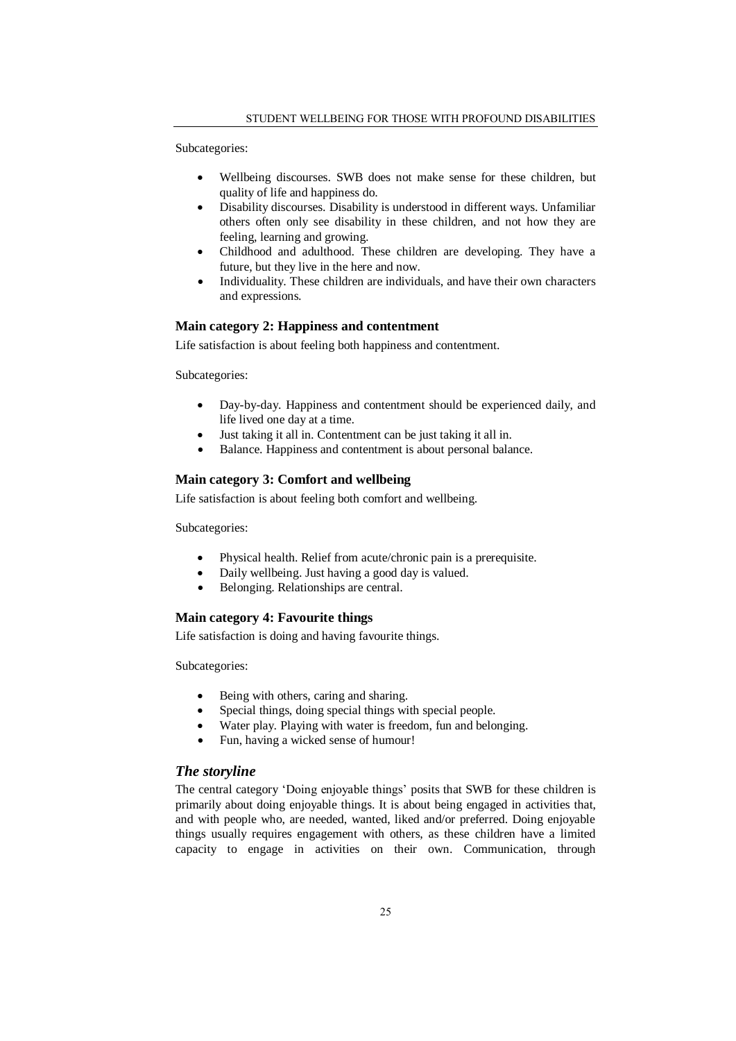Subcategories:

- Wellbeing discourses. SWB does not make sense for these children, but quality of life and happiness do.
- Disability discourses. Disability is understood in different ways. Unfamiliar others often only see disability in these children, and not how they are feeling, learning and growing.
- Childhood and adulthood. These children are developing. They have a future, but they live in the here and now.
- Individuality. These children are individuals, and have their own characters and expressions.

## **Main category 2: Happiness and contentment**

Life satisfaction is about feeling both happiness and contentment.

Subcategories:

- Day-by-day. Happiness and contentment should be experienced daily, and life lived one day at a time.
- Just taking it all in. Contentment can be just taking it all in.
- Balance. Happiness and contentment is about personal balance.

## **Main category 3: Comfort and wellbeing**

Life satisfaction is about feeling both comfort and wellbeing.

Subcategories:

- Physical health. Relief from acute/chronic pain is a prerequisite.
- Daily wellbeing. Just having a good day is valued.
- Belonging. Relationships are central.

## **Main category 4: Favourite things**

Life satisfaction is doing and having favourite things.

Subcategories:

- Being with others, caring and sharing.
- Special things, doing special things with special people.
- Water play. Playing with water is freedom, fun and belonging.
- Fun, having a wicked sense of humour!

## *The storyline*

The central category 'Doing enjoyable things' posits that SWB for these children is primarily about doing enjoyable things. It is about being engaged in activities that, and with people who, are needed, wanted, liked and/or preferred. Doing enjoyable things usually requires engagement with others, as these children have a limited capacity to engage in activities on their own. Communication, through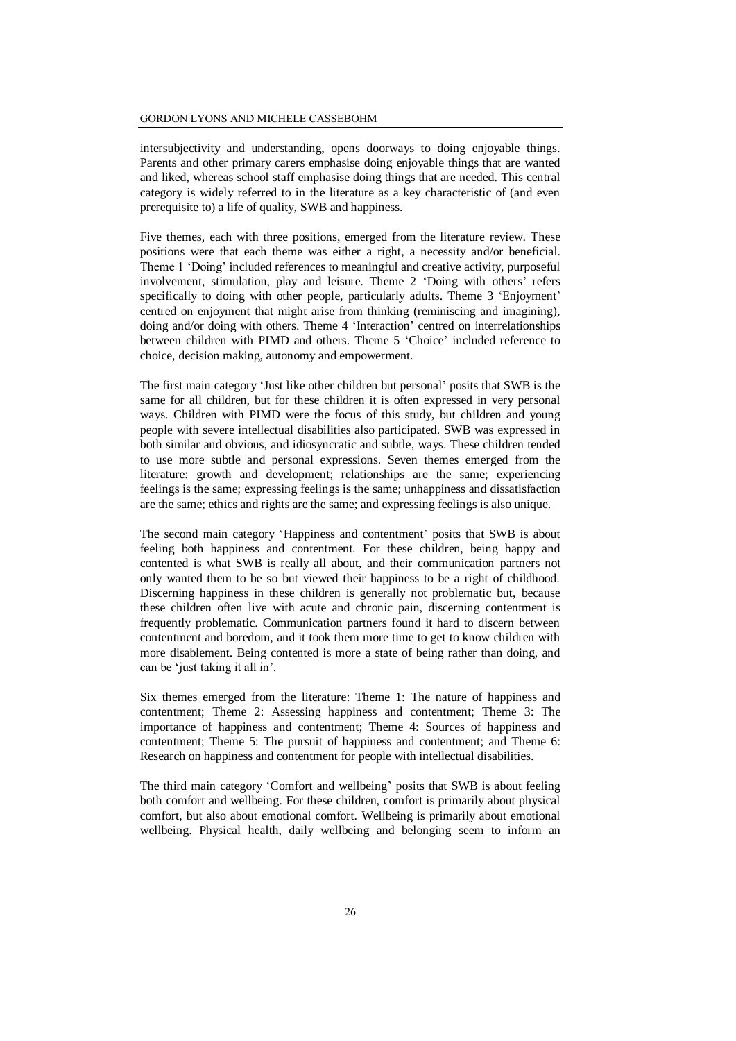intersubjectivity and understanding, opens doorways to doing enjoyable things. Parents and other primary carers emphasise doing enjoyable things that are wanted and liked, whereas school staff emphasise doing things that are needed. This central category is widely referred to in the literature as a key characteristic of (and even prerequisite to) a life of quality, SWB and happiness.

Five themes, each with three positions, emerged from the literature review. These positions were that each theme was either a right, a necessity and/or beneficial. Theme 1 'Doing' included references to meaningful and creative activity, purposeful involvement, stimulation, play and leisure. Theme 2 'Doing with others' refers specifically to doing with other people, particularly adults. Theme 3 'Enjoyment' centred on enjoyment that might arise from thinking (reminiscing and imagining), doing and/or doing with others. Theme 4 'Interaction' centred on interrelationships between children with PIMD and others. Theme 5 'Choice' included reference to choice, decision making, autonomy and empowerment.

The first main category 'Just like other children but personal' posits that SWB is the same for all children, but for these children it is often expressed in very personal ways. Children with PIMD were the focus of this study, but children and young people with severe intellectual disabilities also participated. SWB was expressed in both similar and obvious, and idiosyncratic and subtle, ways. These children tended to use more subtle and personal expressions. Seven themes emerged from the literature: growth and development; relationships are the same; experiencing feelings is the same; expressing feelings is the same; unhappiness and dissatisfaction are the same; ethics and rights are the same; and expressing feelings is also unique.

The second main category 'Happiness and contentment' posits that SWB is about feeling both happiness and contentment. For these children, being happy and contented is what SWB is really all about, and their communication partners not only wanted them to be so but viewed their happiness to be a right of childhood. Discerning happiness in these children is generally not problematic but, because these children often live with acute and chronic pain, discerning contentment is frequently problematic. Communication partners found it hard to discern between contentment and boredom, and it took them more time to get to know children with more disablement. Being contented is more a state of being rather than doing, and can be 'just taking it all in'.

Six themes emerged from the literature: Theme 1: The nature of happiness and contentment; Theme 2: Assessing happiness and contentment; Theme 3: The importance of happiness and contentment; Theme 4: Sources of happiness and contentment; Theme 5: The pursuit of happiness and contentment; and Theme 6: Research on happiness and contentment for people with intellectual disabilities.

The third main category 'Comfort and wellbeing' posits that SWB is about feeling both comfort and wellbeing. For these children, comfort is primarily about physical comfort, but also about emotional comfort. Wellbeing is primarily about emotional wellbeing. Physical health, daily wellbeing and belonging seem to inform an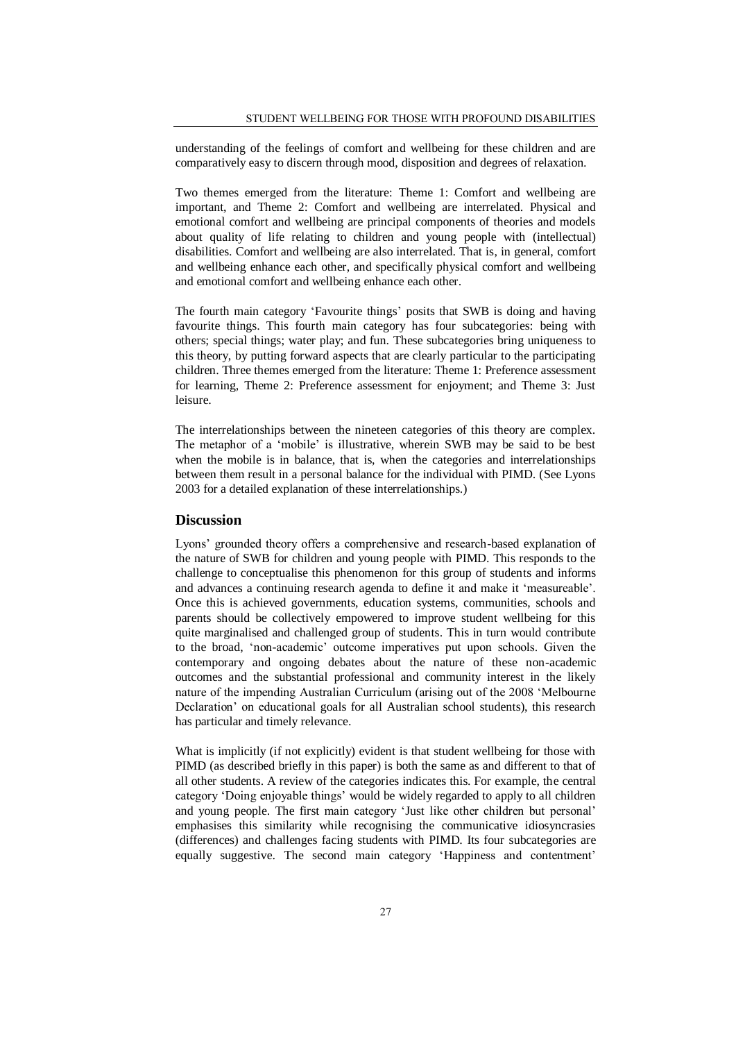understanding of the feelings of comfort and wellbeing for these children and are comparatively easy to discern through mood, disposition and degrees of relaxation.

Two themes emerged from the literature: Theme 1: Comfort and wellbeing are important, and Theme 2: Comfort and wellbeing are interrelated. Physical and emotional comfort and wellbeing are principal components of theories and models about quality of life relating to children and young people with (intellectual) disabilities. Comfort and wellbeing are also interrelated. That is, in general, comfort and wellbeing enhance each other, and specifically physical comfort and wellbeing and emotional comfort and wellbeing enhance each other.

The fourth main category 'Favourite things' posits that SWB is doing and having favourite things. This fourth main category has four subcategories: being with others; special things; water play; and fun. These subcategories bring uniqueness to this theory, by putting forward aspects that are clearly particular to the participating children. Three themes emerged from the literature: Theme 1: Preference assessment for learning, Theme 2: Preference assessment for enjoyment; and Theme 3: Just leisure.

The interrelationships between the nineteen categories of this theory are complex. The metaphor of a 'mobile' is illustrative, wherein SWB may be said to be best when the mobile is in balance, that is, when the categories and interrelationships between them result in a personal balance for the individual with PIMD. (See Lyons 2003 for a detailed explanation of these interrelationships.)

#### **Discussion**

Lyons' grounded theory offers a comprehensive and research-based explanation of the nature of SWB for children and young people with PIMD. This responds to the challenge to conceptualise this phenomenon for this group of students and informs and advances a continuing research agenda to define it and make it 'measureable'. Once this is achieved governments, education systems, communities, schools and parents should be collectively empowered to improve student wellbeing for this quite marginalised and challenged group of students. This in turn would contribute to the broad, 'non-academic' outcome imperatives put upon schools. Given the contemporary and ongoing debates about the nature of these non-academic outcomes and the substantial professional and community interest in the likely nature of the impending Australian Curriculum (arising out of the 2008 'Melbourne Declaration' on educational goals for all Australian school students), this research has particular and timely relevance.

What is implicitly (if not explicitly) evident is that student wellbeing for those with PIMD (as described briefly in this paper) is both the same as and different to that of all other students. A review of the categories indicates this. For example, the central category 'Doing enjoyable things' would be widely regarded to apply to all children and young people. The first main category 'Just like other children but personal' emphasises this similarity while recognising the communicative idiosyncrasies (differences) and challenges facing students with PIMD. Its four subcategories are equally suggestive. The second main category 'Happiness and contentment'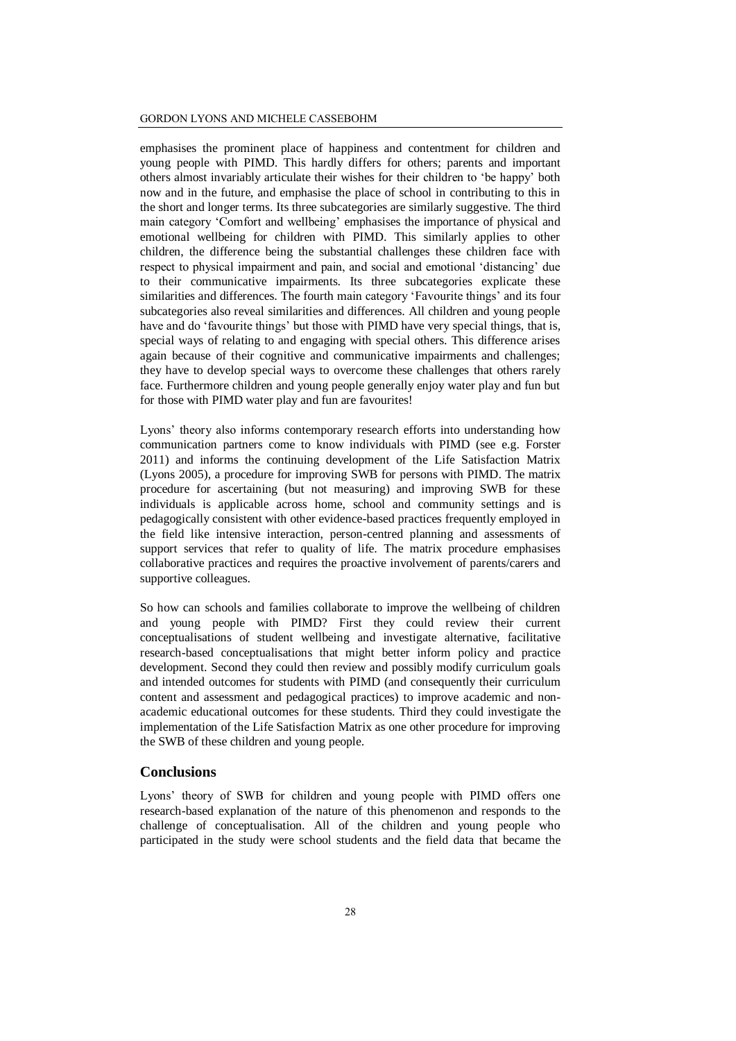#### GORDON LYONS AND MICHELE CASSEBOHM

emphasises the prominent place of happiness and contentment for children and young people with PIMD. This hardly differs for others; parents and important others almost invariably articulate their wishes for their children to 'be happy' both now and in the future, and emphasise the place of school in contributing to this in the short and longer terms. Its three subcategories are similarly suggestive. The third main category 'Comfort and wellbeing' emphasises the importance of physical and emotional wellbeing for children with PIMD. This similarly applies to other children, the difference being the substantial challenges these children face with respect to physical impairment and pain, and social and emotional 'distancing' due to their communicative impairments. Its three subcategories explicate these similarities and differences. The fourth main category 'Favourite things' and its four subcategories also reveal similarities and differences. All children and young people have and do 'favourite things' but those with PIMD have very special things, that is, special ways of relating to and engaging with special others. This difference arises again because of their cognitive and communicative impairments and challenges; they have to develop special ways to overcome these challenges that others rarely face. Furthermore children and young people generally enjoy water play and fun but for those with PIMD water play and fun are favourites!

Lyons' theory also informs contemporary research efforts into understanding how communication partners come to know individuals with PIMD (see e.g. Forster 2011) and informs the continuing development of the Life Satisfaction Matrix (Lyons 2005), a procedure for improving SWB for persons with PIMD. The matrix procedure for ascertaining (but not measuring) and improving SWB for these individuals is applicable across home, school and community settings and is pedagogically consistent with other evidence-based practices frequently employed in the field like intensive interaction, person-centred planning and assessments of support services that refer to quality of life. The matrix procedure emphasises collaborative practices and requires the proactive involvement of parents/carers and supportive colleagues.

So how can schools and families collaborate to improve the wellbeing of children and young people with PIMD? First they could review their current conceptualisations of student wellbeing and investigate alternative, facilitative research-based conceptualisations that might better inform policy and practice development. Second they could then review and possibly modify curriculum goals and intended outcomes for students with PIMD (and consequently their curriculum content and assessment and pedagogical practices) to improve academic and nonacademic educational outcomes for these students. Third they could investigate the implementation of the Life Satisfaction Matrix as one other procedure for improving the SWB of these children and young people.

#### **Conclusions**

Lyons' theory of SWB for children and young people with PIMD offers one research-based explanation of the nature of this phenomenon and responds to the challenge of conceptualisation. All of the children and young people who participated in the study were school students and the field data that became the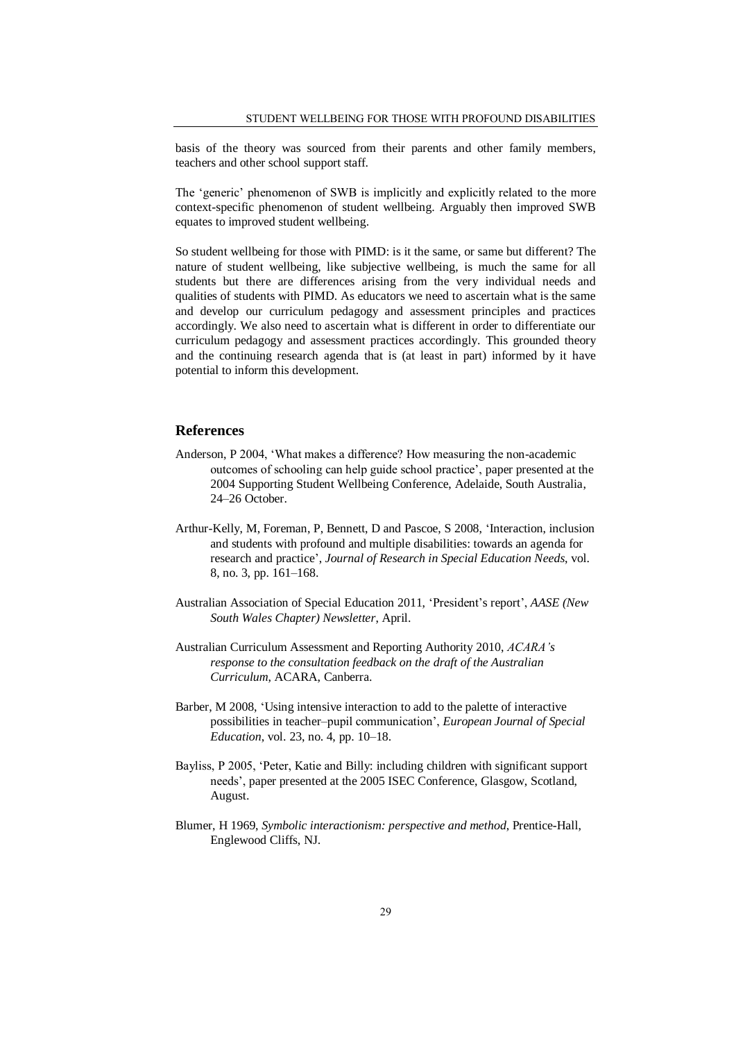basis of the theory was sourced from their parents and other family members, teachers and other school support staff.

The 'generic' phenomenon of SWB is implicitly and explicitly related to the more context-specific phenomenon of student wellbeing. Arguably then improved SWB equates to improved student wellbeing.

So student wellbeing for those with PIMD: is it the same, or same but different? The nature of student wellbeing, like subjective wellbeing, is much the same for all students but there are differences arising from the very individual needs and qualities of students with PIMD. As educators we need to ascertain what is the same and develop our curriculum pedagogy and assessment principles and practices accordingly. We also need to ascertain what is different in order to differentiate our curriculum pedagogy and assessment practices accordingly. This grounded theory and the continuing research agenda that is (at least in part) informed by it have potential to inform this development.

## **References**

- Anderson, P 2004, 'What makes a difference? How measuring the non-academic outcomes of schooling can help guide school practice', paper presented at the 2004 Supporting Student Wellbeing Conference, Adelaide, South Australia, 24–26 October.
- Arthur-Kelly, M, Foreman, P, Bennett, D and Pascoe, S 2008, 'Interaction, inclusion and students with profound and multiple disabilities: towards an agenda for research and practice', *Journal of Research in Special Education Needs*, vol. 8, no. 3, pp. 161–168.
- Australian Association of Special Education 2011, 'President's report', *AASE (New South Wales Chapter) Newsletter*, April.
- Australian Curriculum Assessment and Reporting Authority 2010, *ACARA's response to the consultation feedback on the draft of the Australian Curriculum*, ACARA, Canberra.
- Barber, M 2008, 'Using intensive interaction to add to the palette of interactive possibilities in teacher–pupil communication', *European Journal of Special Education*, vol. 23, no. 4, pp. 10–18.
- Bayliss, P 2005, 'Peter, Katie and Billy: including children with significant support needs', paper presented at the 2005 ISEC Conference, Glasgow, Scotland, August.
- Blumer, H 1969, *Symbolic interactionism: perspective and method*, Prentice-Hall, Englewood Cliffs, NJ.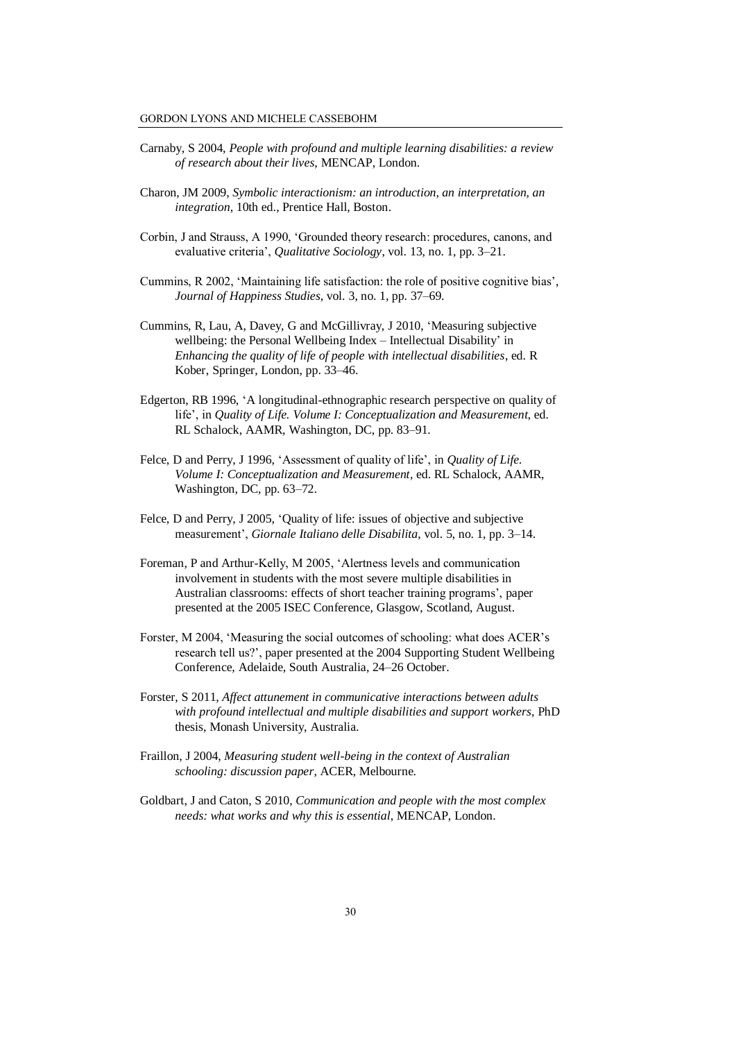- Carnaby, S 2004, *People with profound and multiple learning disabilities: a review of research about their lives*, MENCAP, London.
- Charon, JM 2009, *Symbolic interactionism: an introduction, an interpretation, an integration*, 10th ed., Prentice Hall, Boston.
- Corbin, J and Strauss, A 1990, 'Grounded theory research: procedures, canons, and evaluative criteria', *Qualitative Sociology*, vol. 13, no. 1, pp. 3–21.
- Cummins, R 2002, 'Maintaining life satisfaction: the role of positive cognitive bias', *Journal of Happiness Studies*, vol. 3, no. 1, pp. 37–69.
- Cummins, R, Lau, A, Davey, G and McGillivray, J 2010, 'Measuring subjective wellbeing: the Personal Wellbeing Index – Intellectual Disability' in *Enhancing the quality of life of people with intellectual disabilities*, ed. R Kober, Springer, London, pp. 33–46.
- Edgerton, RB 1996, 'A longitudinal-ethnographic research perspective on quality of life', in *Quality of Life. Volume I: Conceptualization and Measurement*, ed. RL Schalock, AAMR, Washington, DC, pp. 83–91.
- Felce, D and Perry, J 1996, 'Assessment of quality of life', in *Quality of Life. Volume I: Conceptualization and Measurement*, ed. RL Schalock, AAMR, Washington, DC, pp. 63–72.
- Felce, D and Perry, J 2005, 'Quality of life: issues of objective and subjective measurement', *Giornale Italiano delle Disabilita*, vol. 5, no. 1, pp. 3–14.
- Foreman, P and Arthur-Kelly, M 2005, 'Alertness levels and communication involvement in students with the most severe multiple disabilities in Australian classrooms: effects of short teacher training programs', paper presented at the 2005 ISEC Conference, Glasgow, Scotland, August.
- Forster, M 2004, 'Measuring the social outcomes of schooling: what does ACER's research tell us?', paper presented at the 2004 Supporting Student Wellbeing Conference, Adelaide, South Australia, 24–26 October.
- Forster, S 2011, *Affect attunement in communicative interactions between adults with profound intellectual and multiple disabilities and support workers*, PhD thesis, Monash University, Australia.
- Fraillon, J 2004, *Measuring student well-being in the context of Australian schooling: discussion paper*, ACER, Melbourne.
- Goldbart, J and Caton, S 2010, *Communication and people with the most complex needs: what works and why this is essential*, MENCAP, London.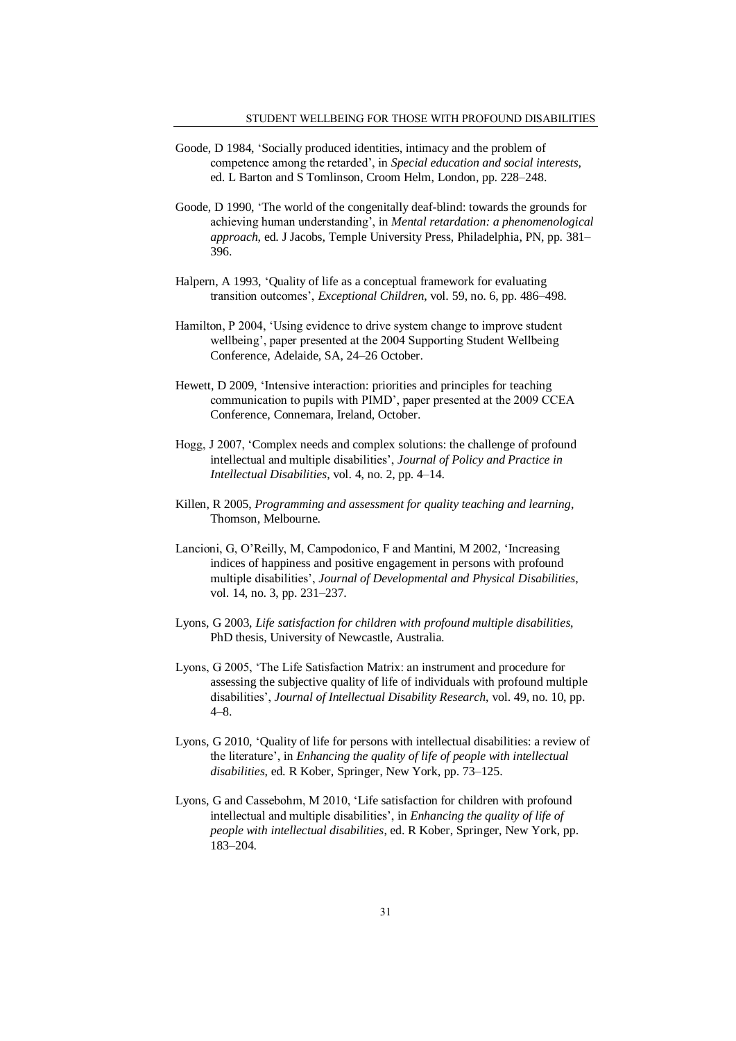- Goode, D 1984, 'Socially produced identities, intimacy and the problem of competence among the retarded', in *Special education and social interests*, ed. L Barton and S Tomlinson, Croom Helm, London, pp. 228–248.
- Goode, D 1990, 'The world of the congenitally deaf-blind: towards the grounds for achieving human understanding', in *Mental retardation: a phenomenological approach*, ed. J Jacobs, Temple University Press, Philadelphia, PN, pp. 381– 396.
- Halpern, A 1993, 'Quality of life as a conceptual framework for evaluating transition outcomes', *Exceptional Children*, vol. 59, no. 6, pp. 486–498.
- Hamilton, P 2004, 'Using evidence to drive system change to improve student wellbeing', paper presented at the 2004 Supporting Student Wellbeing Conference, Adelaide, SA, 24–26 October.
- Hewett, D 2009, 'Intensive interaction: priorities and principles for teaching communication to pupils with PIMD', paper presented at the 2009 CCEA Conference, Connemara, Ireland, October.
- Hogg, J 2007, 'Complex needs and complex solutions: the challenge of profound intellectual and multiple disabilities', *Journal of Policy and Practice in Intellectual Disabilities*, vol. 4, no. 2, pp. 4–14.
- Killen, R 2005, *Programming and assessment for quality teaching and learning*, Thomson, Melbourne.
- Lancioni, G, O'Reilly, M, Campodonico, F and Mantini, M 2002, 'Increasing indices of happiness and positive engagement in persons with profound multiple disabilities', *Journal of Developmental and Physical Disabilities*, vol. 14, no. 3, pp. 231–237.
- Lyons, G 2003, *Life satisfaction for children with profound multiple disabilities*, PhD thesis, University of Newcastle, Australia.
- Lyons, G 2005, 'The Life Satisfaction Matrix: an instrument and procedure for assessing the subjective quality of life of individuals with profound multiple disabilities', *Journal of Intellectual Disability Research*, vol. 49, no. 10, pp. 4–8.
- Lyons, G 2010, 'Quality of life for persons with intellectual disabilities: a review of the literature', in *Enhancing the quality of life of people with intellectual disabilities*, ed. R Kober, Springer, New York, pp. 73–125.
- Lyons, G and Cassebohm, M 2010, 'Life satisfaction for children with profound intellectual and multiple disabilities', in *Enhancing the quality of life of people with intellectual disabilities*, ed. R Kober, Springer, New York, pp. 183–204.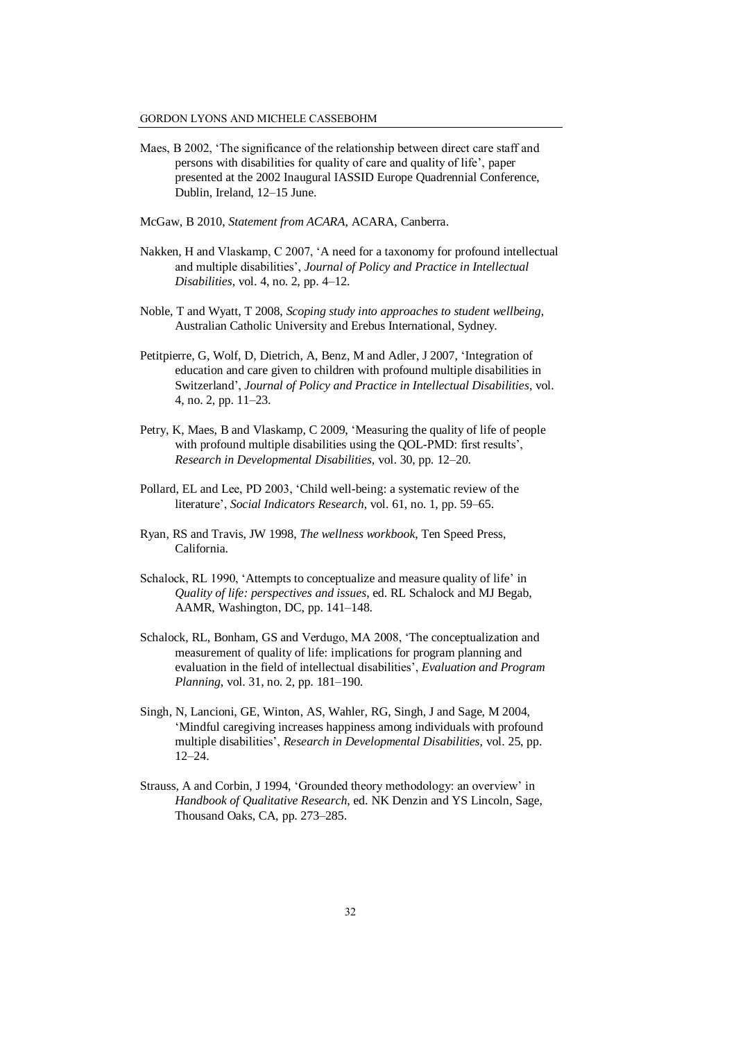- Maes, B 2002, 'The significance of the relationship between direct care staff and persons with disabilities for quality of care and quality of life', paper presented at the 2002 Inaugural IASSID Europe Quadrennial Conference, Dublin, Ireland, 12–15 June.
- McGaw, B 2010, *Statement from ACARA*, ACARA, Canberra.
- Nakken, H and Vlaskamp, C 2007, 'A need for a taxonomy for profound intellectual and multiple disabilities', *Journal of Policy and Practice in Intellectual Disabilities*, vol. 4, no. 2, pp. 4–12.
- Noble, T and Wyatt, T 2008, *Scoping study into approaches to student wellbeing*, Australian Catholic University and Erebus International, Sydney.
- Petitpierre, G, Wolf, D, Dietrich, A, Benz, M and Adler, J 2007, 'Integration of education and care given to children with profound multiple disabilities in Switzerland', *Journal of Policy and Practice in Intellectual Disabilities*, vol. 4, no. 2, pp. 11–23.
- Petry, K, Maes, B and Vlaskamp, C 2009, 'Measuring the quality of life of people with profound multiple disabilities using the QOL-PMD: first results', *Research in Developmental Disabilities*, vol. 30, pp. 12–20.
- Pollard, EL and Lee, PD 2003, 'Child well-being: a systematic review of the literature', *Social Indicators Research*, vol. 61, no. 1, pp. 59–65.
- Ryan, RS and Travis, JW 1998, *The wellness workbook*, Ten Speed Press, California.
- Schalock, RL 1990, 'Attempts to conceptualize and measure quality of life' in *Quality of life: perspectives and issues*, ed. RL Schalock and MJ Begab, AAMR, Washington, DC, pp. 141–148.
- Schalock, RL, Bonham, GS and Verdugo, MA 2008, 'The conceptualization and measurement of quality of life: implications for program planning and evaluation in the field of intellectual disabilities', *Evaluation and Program Planning*, vol. 31, no. 2, pp. 181–190.
- Singh, N, Lancioni, GE, Winton, AS, Wahler, RG, Singh, J and Sage, M 2004, 'Mindful caregiving increases happiness among individuals with profound multiple disabilities', *Research in Developmental Disabilities*, vol. 25, pp. 12–24.
- Strauss, A and Corbin, J 1994, 'Grounded theory methodology: an overview' in *Handbook of Qualitative Research*, ed. NK Denzin and YS Lincoln, Sage, Thousand Oaks, CA, pp. 273–285.